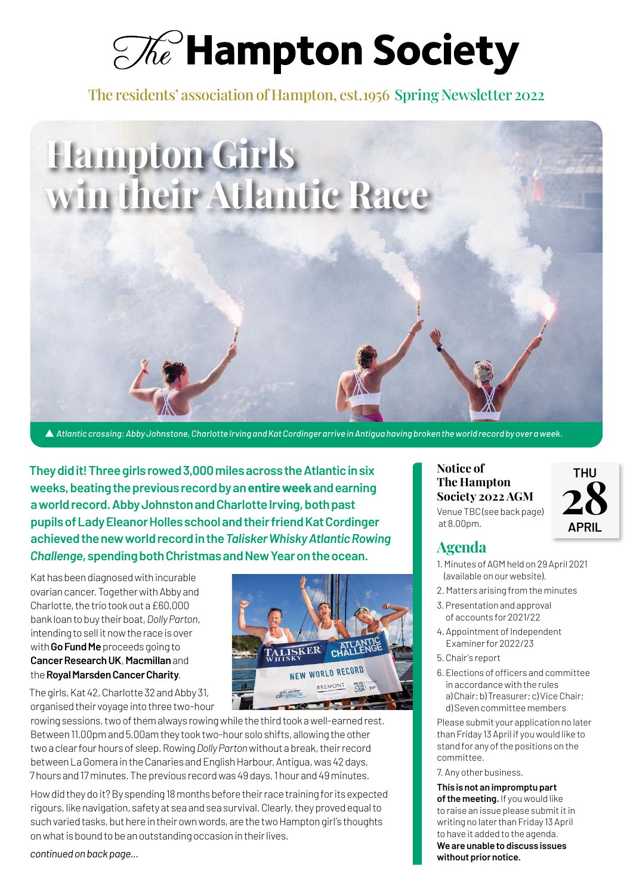$\mathcal{A}$  Hampton Society

The residents' association of Hampton, est. 1956 Spring Newsletter 2022



s *Atlantic crossing: Abby Johnstone, Charlotte Irving and Kat Cordinger arrive in Antigua having broken the world record by over a week.*

**They did it! Three girls rowed 3,000 miles across the Atlantic in six weeks, beating the previous record by an entire week and earning a world record. Abby Johnston and Charlotte Irving, both past pupils of Lady Eleanor Holles school and their friend Kat Cordinger achieved the new world record in the** *Talisker Whisky Atlantic Rowing Challenge***, spending both Christmas and New Year on the ocean.**

Kat has been diagnosed with incurable ovarian cancer. Together with Abby and Charlotte, the trio took out a £60,000 bank loan to buy their boat, *Dolly Parton*, intending to sell it now the race is over with **Go Fund Me** proceeds going to **Cancer Research UK**, **Macmillan** and the **Royal Marsden Cancer Charity**.

ALISKER **CHAL** NEW WORLD RECORD BREMONT

The girls, Kat 42, Charlotte 32 and Abby 31, organised their voyage into three two-hour

rowing sessions, two of them always rowing while the third took a well-earned rest. Between 11.00pm and 5.00am they took two-hour solo shifts, allowing the other two a clear four hours of sleep. Rowing *Dolly Parton* without a break, their record between La Gomera in the Canaries and English Harbour, Antigua, was 42 days, 7 hours and 17 minutes. The previous record was 49 days, 1 hour and 49 minutes.

How did they do it? By spending 18 months before their race training for its expected rigours, like navigation, safety at sea and sea survival. Clearly, they proved equal to such varied tasks, but here in their own words, are the two Hampton girl's thoughts on what is bound to be an outstanding occasion in their lives.

*continued on back page…*

**The Hampton Society 2022 AGM** Venue TBC (see back page) at 8.00pm.

## **THU 28 APRIL**

#### **Agenda**

**Notice of** 

- 1. Minutes of AGM held on 29 April 2021 (available on our website).
- 2. Matters arising from the minutes
- 3. Presentation and approval of accounts for 2021/22
- 4. Appointment of Independent Examiner for 2022/23
- 5. Chair's report
- 6. Elections of officers and committee in accordance with the rules a) Chair; b) Treasurer; c) Vice Chair; d) Seven committee members

Please submit your application no later than Friday 13 April if you would like to stand for any of the positions on the committee.

7. Any other business.

**This is not an impromptu part of the meeting.** If you would like to raise an issue please submit it in writing no later than Friday 13 April to have it added to the agenda. **We are unable to discuss issues without prior notice.**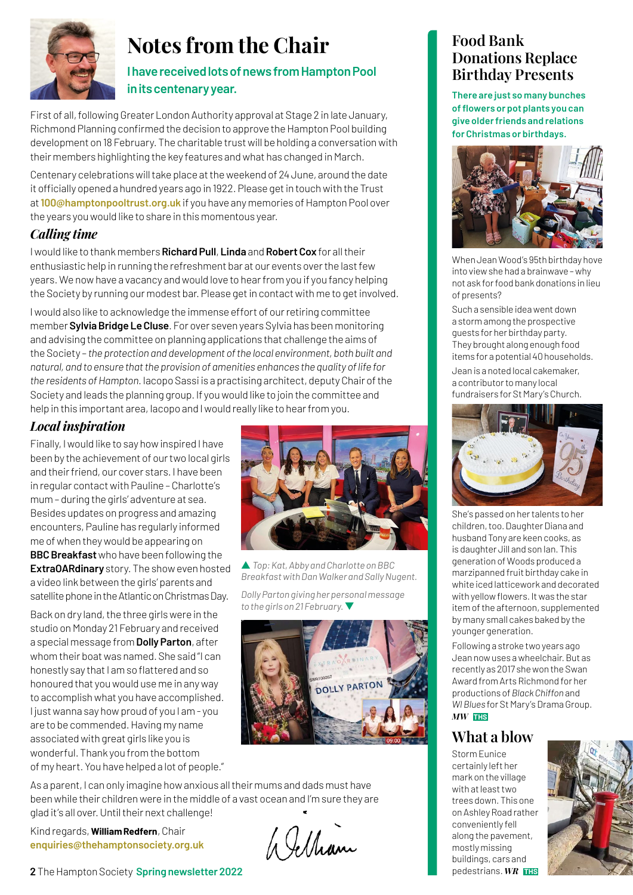

## **Notes from the Chair**

#### **I have received lots of news from Hampton Pool in its centenary year.**

First of all, following Greater London Authority approval at Stage 2 in late January, Richmond Planning confirmed the decision to approve the Hampton Pool building development on 18 February. The charitable trust will be holding a conversation with their members highlighting the key features and what has changed in March.

Centenary celebrations will take place at the weekend of 24 June, around the date it officially opened a hundred years ago in 1922. Please get in touch with the Trust at **100@hamptonpooltrust.org.uk** if you have any memories of Hampton Pool over the years you would like to share in this momentous year.

#### *Calling time*

I would like to thank members **Richard Pull**, **Linda** and **Robert Cox** for all their enthusiastic help in running the refreshment bar at our events over the last few years. We now have a vacancy and would love to hear from you if you fancy helping the Society by running our modest bar. Please get in contact with me to get involved.

I would also like to acknowledge the immense effort of our retiring committee member **Sylvia Bridge Le Cluse**. For over seven years Sylvia has been monitoring and advising the committee on planning applications that challenge the aims of the Society – *the protection and development of the local environment, both built and natural, and to ensure that the provision of amenities enhances the quality of life for the residents of Hampton*. Iacopo Sassi is a practising architect, deputy Chair of the Society and leads the planning group. If you would like to join the committee and help in this important area, Iacopo and I would really like to hear from you.

#### *Local inspiration*

Finally, I would like to say how inspired I have been by the achievement of our two local girls and their friend, our cover stars. I have been in regular contact with Pauline – Charlotte's mum – during the girls' adventure at sea. Besides updates on progress and amazing encounters, Pauline has regularly informed me of when they would be appearing on **BBC Breakfast** who have been following the **ExtraOARdinary** story. The show even hosted a video link between the girls' parents and satellite phone in the Atlantic on Christmas Day.

Back on dry land, the three girls were in the studio on Monday 21 February and received a special message from **Dolly Parton**, after whom their boat was named. She said "I can honestly say that I am so flattered and so honoured that you would use me in any way to accomplish what you have accomplished. I just wanna say how proud of you I am - you are to be commended. Having my name associated with great girls like you is wonderful. Thank you from the bottom of my heart. You have helped a lot of people."



s *Top: Kat, Abby and Charlotte on BBC Breakfast with Dan Walker and Sally Nugent.*

*Dolly Parton giving her personal message to the girls on 21 February.* ▼



As a parent, I can only imagine how anxious all their mums and dads must have been while their children were in the middle of a vast ocean and I'm sure they are glad it's all over. Until their next challenge!

Kind regards, **William Redfern**, Chair **enquiries@thehamptonsociety.org.uk**

Welliam

#### **Food Bank Donations Replace Birthday Presents**

**There are just so many bunches of flowers or pot plants you can give older friends and relations for Christmas or birthdays.**



When Jean Wood's 95th birthday hove into view she had a brainwave – why not ask for food bank donations in lieu of presents?

Such a sensible idea went down a storm among the prospective guests for her birthday party. They brought along enough food items for a potential 40 households.

Jean is a noted local cakemaker, a contributor to many local fundraisers for St Mary's Church.



She's passed on her talents to her children, too. Daughter Diana and husband Tony are keen cooks, as is daughter Jill and son Ian. This generation of Woods produced a marzipanned fruit birthday cake in white iced latticework and decorated with yellow flowers. It was the star item of the afternoon, supplemented by many small cakes baked by the younger generation.

Following a stroke two years ago Jean now uses a wheelchair. But as recently as 2017 she won the Swan Award from Arts Richmond for her productions of *Black Chiffon* and *WI Blues* for St Mary's Drama Group. *MW* **THS**

## **What a blow**

Storm Eunice certainly left her mark on the village with at least two trees down. This one on Ashley Road rather conveniently fell along the pavement, mostly missing buildings, cars and pedestrians. *WR* **THS**

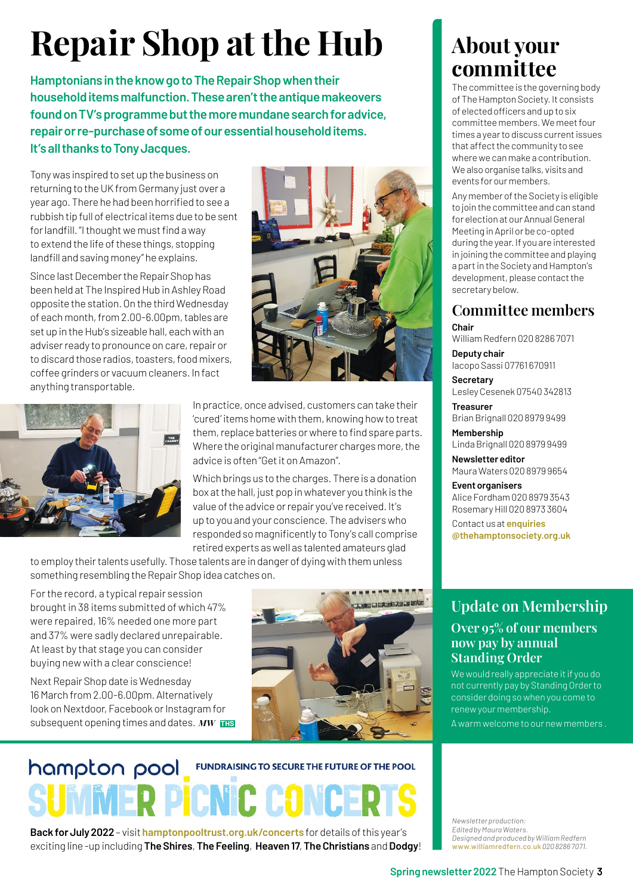# **Repair Shop at the Hub**

**Hamptonians in the know go to The Repair Shop when their household items malfunction. These aren't the antique makeovers found on TV's programme but the more mundane search for advice, repair or re-purchase of some of our essential household items. It's all thanks to Tony Jacques.**

Tony was inspired to set up the business on returning to the UK from Germany just over a year ago. There he had been horrified to see a rubbish tip full of electrical items due to be sent for landfill. "I thought we must find a way to extend the life of these things, stopping landfill and saving money" he explains.

Since last December the Repair Shop has been held at The Inspired Hub in Ashley Road opposite the station. On the third Wednesday of each month, from 2.00-6.00pm, tables are set up in the Hub's sizeable hall, each with an adviser ready to pronounce on care, repair or to discard those radios, toasters, food mixers, coffee grinders or vacuum cleaners. In fact anything transportable.





In practice, once advised, customers can take their 'cured' items home with them, knowing how to treat them, replace batteries or where to find spare parts. Where the original manufacturer charges more, the advice is often "Get it on Amazon".

Which brings us to the charges. There is a donation box at the hall, just pop in whatever you think is the value of the advice or repair you've received. It's up to you and your conscience. The advisers who responded so magnificently to Tony's call comprise retired experts as well as talented amateurs glad

to employ their talents usefully. Those talents are in danger of dying with them unless something resembling the Repair Shop idea catches on.

For the record, a typical repair session brought in 38 items submitted of which 47% were repaired, 16% needed one more part and 37% were sadly declared unrepairable. At least by that stage you can consider buying new with a clear conscience!

Next Repair Shop date is Wednesday 16 March from 2.00-6.00pm. Alternatively look on Nextdoor, Facebook or Instagram for subsequent opening times and dates. *MW* **THS**



## hampton pool **FUNDRAISING TO SECURE THE FUTURE OF THE POOL**

**Back for July 2022** – visit **hamptonpooltrust.org.uk/concerts** for details of this year's exciting line -up including **The Shires**, **The Feeling**, **Heaven 17**, **The Christians** and **Dodgy**!

## **About your committee**

The committee is the governing body of The Hampton Society. It consists of elected officers and up to six committee members. We meet four times a year to discuss current issues that affect the community to see where we can make a contribution. We also organise talks, visits and events for our members.

Any member of the Society is eligible to join the committee and can stand for election at our Annual General Meeting in April or be co-opted during the year. If you are interested in joining the committee and playing a part in the Society and Hampton's development, please contact the secretary below.

#### **Committee members**

**Chair** William Redfern 020 8286 7071 **Deputy chair** Iacopo Sassi 07761 670911 **Secretary** Lesley Cesenek 07540 342813 **Treasurer** Brian Brignall 020 8979 9499 **Membership** Linda Brignall 020 8979 9499

**Newsletter editor** Maura Waters 020 8979 9654

**Event organisers** Alice Fordham 020 8979 3543 Rosemary Hill 020 8973 3604

Contact us at **enquiries @thehamptonsociety.org.uk**

#### **Update on Membership Over 95% of our members now pay by annual Standing Order**

We would really appreciate it if you do not currently pay by Standing Order to consider doing so when you come to renew your membership.

A warm welcome to our new members .

*Newsletter production: Edited by Maura Waters. Designed and produced by William Redfern*  **www.williamredfern.co.uk** *020 8286 7071.*